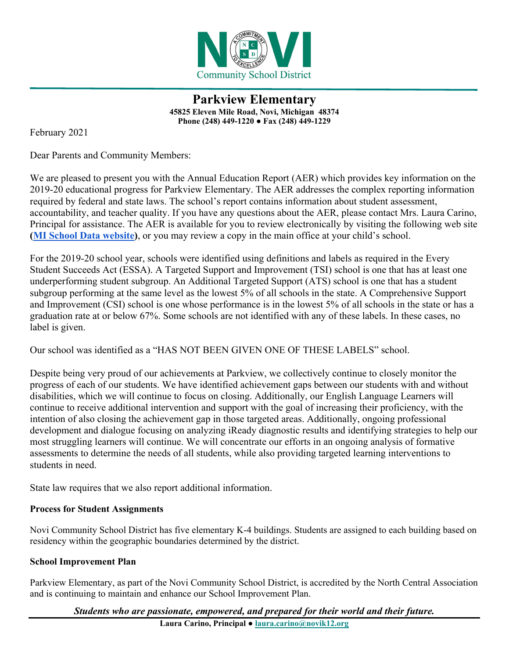

**Parkview Elementary 45825 Eleven Mile Road, Novi, Michigan 48374 Phone (248) 449-1220 ● Fax (248) 449-1229**

February 2021

Dear Parents and Community Members:

We are pleased to present you with the Annual Education Report (AER) which provides key information on the 2019-20 educational progress for Parkview Elementary. The AER addresses the complex reporting information required by federal and state laws. The school's report contains information about student assessment, accountability, and teacher quality. If you have any questions about the AER, please contact Mrs. Laura Carino, Principal for assistance. The AER is available for you to review electronically by visiting the following web site **[\(MI School Data website\)](https://bit.ly/3qWgPgm)**, or you may review a copy in the main office at your child's school.

For the 2019-20 school year, schools were identified using definitions and labels as required in the Every Student Succeeds Act (ESSA). A Targeted Support and Improvement (TSI) school is one that has at least one underperforming student subgroup. An Additional Targeted Support (ATS) school is one that has a student subgroup performing at the same level as the lowest 5% of all schools in the state. A Comprehensive Support and Improvement (CSI) school is one whose performance is in the lowest 5% of all schools in the state or has a graduation rate at or below 67%. Some schools are not identified with any of these labels. In these cases, no label is given.

Our school was identified as a "HAS NOT BEEN GIVEN ONE OF THESE LABELS" school.

Despite being very proud of our achievements at Parkview, we collectively continue to closely monitor the progress of each of our students. We have identified achievement gaps between our students with and without disabilities, which we will continue to focus on closing. Additionally, our English Language Learners will continue to receive additional intervention and support with the goal of increasing their proficiency, with the intention of also closing the achievement gap in those targeted areas. Additionally, ongoing professional development and dialogue focusing on analyzing iReady diagnostic results and identifying strategies to help our most struggling learners will continue. We will concentrate our efforts in an ongoing analysis of formative assessments to determine the needs of all students, while also providing targeted learning interventions to students in need.

State law requires that we also report additional information.

## **Process for Student Assignments**

Novi Community School District has five elementary K-4 buildings. Students are assigned to each building based on residency within the geographic boundaries determined by the district.

## **School Improvement Plan**

Parkview Elementary, as part of the Novi Community School District, is accredited by the North Central Association and is continuing to maintain and enhance our School Improvement Plan.

*Students who are passionate, empowered, and prepared for their world and their future.*